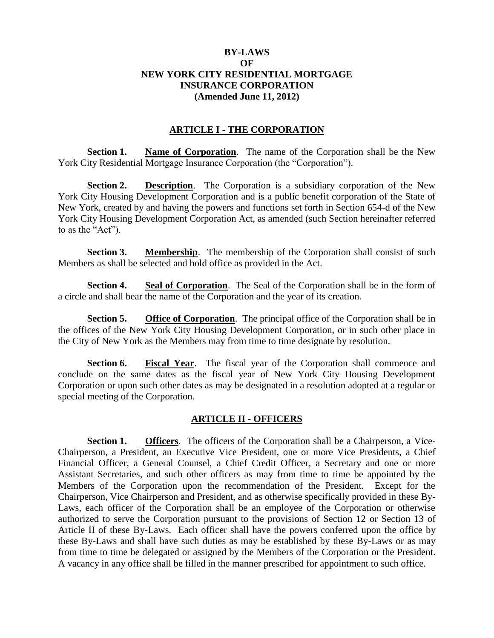## **BY-LAWS OF NEW YORK CITY RESIDENTIAL MORTGAGE INSURANCE CORPORATION (Amended June 11, 2012)**

### **ARTICLE I - THE CORPORATION**

**Section 1. Name of Corporation**. The name of the Corporation shall be the New York City Residential Mortgage Insurance Corporation (the "Corporation").

**Section 2. Description**. The Corporation is a subsidiary corporation of the New York City Housing Development Corporation and is a public benefit corporation of the State of New York, created by and having the powers and functions set forth in Section 654-d of the New York City Housing Development Corporation Act, as amended (such Section hereinafter referred to as the "Act").

**Section 3. Membership**. The membership of the Corporation shall consist of such Members as shall be selected and hold office as provided in the Act.

**Section 4. Seal of Corporation**. The Seal of the Corporation shall be in the form of a circle and shall bear the name of the Corporation and the year of its creation.

**Section 5. Office of Corporation**. The principal office of the Corporation shall be in the offices of the New York City Housing Development Corporation, or in such other place in the City of New York as the Members may from time to time designate by resolution.

**Section 6. Fiscal Year**. The fiscal year of the Corporation shall commence and conclude on the same dates as the fiscal year of New York City Housing Development Corporation or upon such other dates as may be designated in a resolution adopted at a regular or special meeting of the Corporation.

#### **ARTICLE II - OFFICERS**

**Section 1. Officers**. The officers of the Corporation shall be a Chairperson, a Vice-Chairperson, a President, an Executive Vice President, one or more Vice Presidents, a Chief Financial Officer, a General Counsel, a Chief Credit Officer, a Secretary and one or more Assistant Secretaries, and such other officers as may from time to time be appointed by the Members of the Corporation upon the recommendation of the President. Except for the Chairperson, Vice Chairperson and President, and as otherwise specifically provided in these By-Laws, each officer of the Corporation shall be an employee of the Corporation or otherwise authorized to serve the Corporation pursuant to the provisions of Section 12 or Section 13 of Article II of these By-Laws. Each officer shall have the powers conferred upon the office by these By-Laws and shall have such duties as may be established by these By-Laws or as may from time to time be delegated or assigned by the Members of the Corporation or the President. A vacancy in any office shall be filled in the manner prescribed for appointment to such office.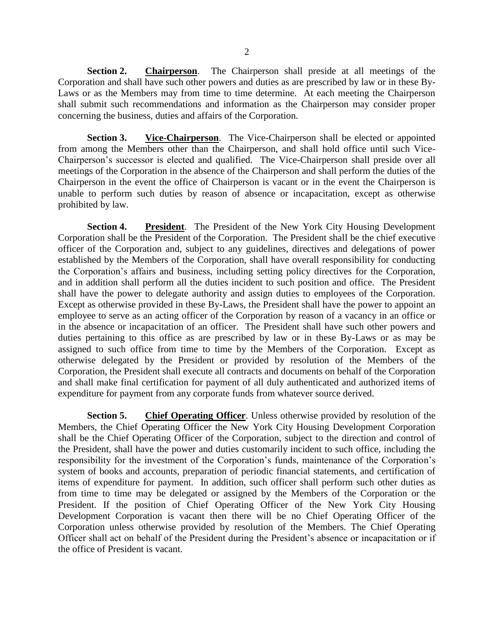**Section 2. Chairperson**. The Chairperson shall preside at all meetings of the Corporation and shall have such other powers and duties as are prescribed by law or in these By-Laws or as the Members may from time to time determine. At each meeting the Chairperson shall submit such recommendations and information as the Chairperson may consider proper concerning the business, duties and affairs of the Corporation.

**Section 3. Vice-Chairperson**. The Vice-Chairperson shall be elected or appointed from among the Members other than the Chairperson, and shall hold office until such Vice-Chairperson's successor is elected and qualified. The Vice-Chairperson shall preside over all meetings of the Corporation in the absence of the Chairperson and shall perform the duties of the Chairperson in the event the office of Chairperson is vacant or in the event the Chairperson is unable to perform such duties by reason of absence or incapacitation, except as otherwise prohibited by law.

**Section 4. President**. The President of the New York City Housing Development Corporation shall be the President of the Corporation. The President shall be the chief executive officer of the Corporation and, subject to any guidelines, directives and delegations of power established by the Members of the Corporation, shall have overall responsibility for conducting the Corporation's affairs and business, including setting policy directives for the Corporation, and in addition shall perform all the duties incident to such position and office. The President shall have the power to delegate authority and assign duties to employees of the Corporation. Except as otherwise provided in these By-Laws, the President shall have the power to appoint an employee to serve as an acting officer of the Corporation by reason of a vacancy in an office or in the absence or incapacitation of an officer. The President shall have such other powers and duties pertaining to this office as are prescribed by law or in these By-Laws or as may be assigned to such office from time to time by the Members of the Corporation. Except as otherwise delegated by the President or provided by resolution of the Members of the Corporation, the President shall execute all contracts and documents on behalf of the Corporation and shall make final certification for payment of all duly authenticated and authorized items of expenditure for payment from any corporate funds from whatever source derived.

**Section 5.** Chief Operating Officer. Unless otherwise provided by resolution of the Members, the Chief Operating Officer the New York City Housing Development Corporation shall be the Chief Operating Officer of the Corporation, subject to the direction and control of the President, shall have the power and duties customarily incident to such office, including the responsibility for the investment of the Corporation's funds, maintenance of the Corporation's system of books and accounts, preparation of periodic financial statements, and certification of items of expenditure for payment. In addition, such officer shall perform such other duties as from time to time may be delegated or assigned by the Members of the Corporation or the President. If the position of Chief Operating Officer of the New York City Housing Development Corporation is vacant then there will be no Chief Operating Officer of the Corporation unless otherwise provided by resolution of the Members. The Chief Operating Officer shall act on behalf of the President during the President's absence or incapacitation or if the office of President is vacant.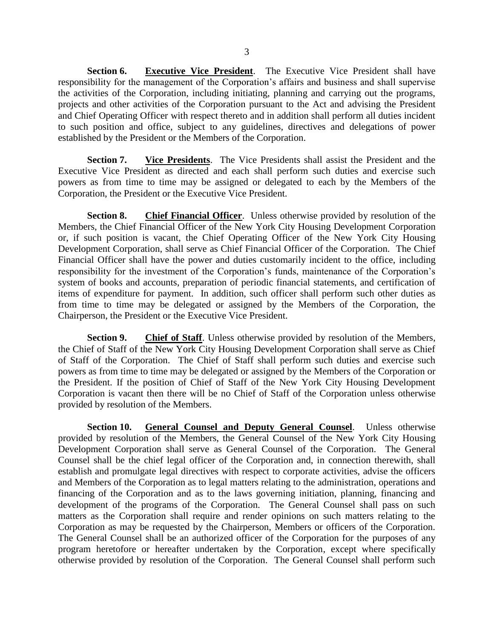**Section 6. Executive Vice President**. The Executive Vice President shall have responsibility for the management of the Corporation's affairs and business and shall supervise the activities of the Corporation, including initiating, planning and carrying out the programs, projects and other activities of the Corporation pursuant to the Act and advising the President and Chief Operating Officer with respect thereto and in addition shall perform all duties incident to such position and office, subject to any guidelines, directives and delegations of power established by the President or the Members of the Corporation.

**Section 7. Vice Presidents**. The Vice Presidents shall assist the President and the Executive Vice President as directed and each shall perform such duties and exercise such powers as from time to time may be assigned or delegated to each by the Members of the Corporation, the President or the Executive Vice President.

**Section 8.** Chief Financial Officer. Unless otherwise provided by resolution of the Members, the Chief Financial Officer of the New York City Housing Development Corporation or, if such position is vacant, the Chief Operating Officer of the New York City Housing Development Corporation, shall serve as Chief Financial Officer of the Corporation. The Chief Financial Officer shall have the power and duties customarily incident to the office, including responsibility for the investment of the Corporation's funds, maintenance of the Corporation's system of books and accounts, preparation of periodic financial statements, and certification of items of expenditure for payment. In addition, such officer shall perform such other duties as from time to time may be delegated or assigned by the Members of the Corporation, the Chairperson, the President or the Executive Vice President.

**Section 9. Chief of Staff**. Unless otherwise provided by resolution of the Members, the Chief of Staff of the New York City Housing Development Corporation shall serve as Chief of Staff of the Corporation. The Chief of Staff shall perform such duties and exercise such powers as from time to time may be delegated or assigned by the Members of the Corporation or the President. If the position of Chief of Staff of the New York City Housing Development Corporation is vacant then there will be no Chief of Staff of the Corporation unless otherwise provided by resolution of the Members.

**Section 10. General Counsel and Deputy General Counsel**. Unless otherwise provided by resolution of the Members, the General Counsel of the New York City Housing Development Corporation shall serve as General Counsel of the Corporation. The General Counsel shall be the chief legal officer of the Corporation and, in connection therewith, shall establish and promulgate legal directives with respect to corporate activities, advise the officers and Members of the Corporation as to legal matters relating to the administration, operations and financing of the Corporation and as to the laws governing initiation, planning, financing and development of the programs of the Corporation. The General Counsel shall pass on such matters as the Corporation shall require and render opinions on such matters relating to the Corporation as may be requested by the Chairperson, Members or officers of the Corporation. The General Counsel shall be an authorized officer of the Corporation for the purposes of any program heretofore or hereafter undertaken by the Corporation, except where specifically otherwise provided by resolution of the Corporation. The General Counsel shall perform such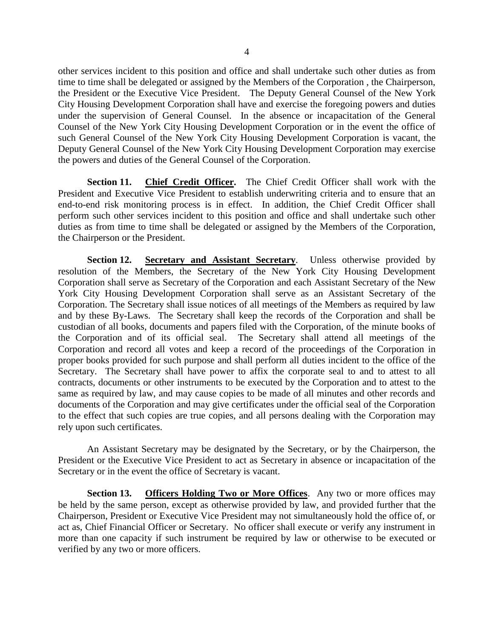other services incident to this position and office and shall undertake such other duties as from time to time shall be delegated or assigned by the Members of the Corporation , the Chairperson, the President or the Executive Vice President. The Deputy General Counsel of the New York City Housing Development Corporation shall have and exercise the foregoing powers and duties under the supervision of General Counsel. In the absence or incapacitation of the General Counsel of the New York City Housing Development Corporation or in the event the office of such General Counsel of the New York City Housing Development Corporation is vacant, the Deputy General Counsel of the New York City Housing Development Corporation may exercise the powers and duties of the General Counsel of the Corporation.

**Section 11. Chief Credit Officer.** The Chief Credit Officer shall work with the President and Executive Vice President to establish underwriting criteria and to ensure that an end-to-end risk monitoring process is in effect. In addition, the Chief Credit Officer shall perform such other services incident to this position and office and shall undertake such other duties as from time to time shall be delegated or assigned by the Members of the Corporation, the Chairperson or the President.

**Section 12. Secretary and Assistant Secretary**. Unless otherwise provided by resolution of the Members, the Secretary of the New York City Housing Development Corporation shall serve as Secretary of the Corporation and each Assistant Secretary of the New York City Housing Development Corporation shall serve as an Assistant Secretary of the Corporation. The Secretary shall issue notices of all meetings of the Members as required by law and by these By-Laws. The Secretary shall keep the records of the Corporation and shall be custodian of all books, documents and papers filed with the Corporation, of the minute books of the Corporation and of its official seal. The Secretary shall attend all meetings of the Corporation and record all votes and keep a record of the proceedings of the Corporation in proper books provided for such purpose and shall perform all duties incident to the office of the Secretary. The Secretary shall have power to affix the corporate seal to and to attest to all contracts, documents or other instruments to be executed by the Corporation and to attest to the same as required by law, and may cause copies to be made of all minutes and other records and documents of the Corporation and may give certificates under the official seal of the Corporation to the effect that such copies are true copies, and all persons dealing with the Corporation may rely upon such certificates.

An Assistant Secretary may be designated by the Secretary, or by the Chairperson, the President or the Executive Vice President to act as Secretary in absence or incapacitation of the Secretary or in the event the office of Secretary is vacant.

Section 13. **Officers Holding Two or More Offices**. Any two or more offices may be held by the same person, except as otherwise provided by law, and provided further that the Chairperson, President or Executive Vice President may not simultaneously hold the office of, or act as, Chief Financial Officer or Secretary. No officer shall execute or verify any instrument in more than one capacity if such instrument be required by law or otherwise to be executed or verified by any two or more officers.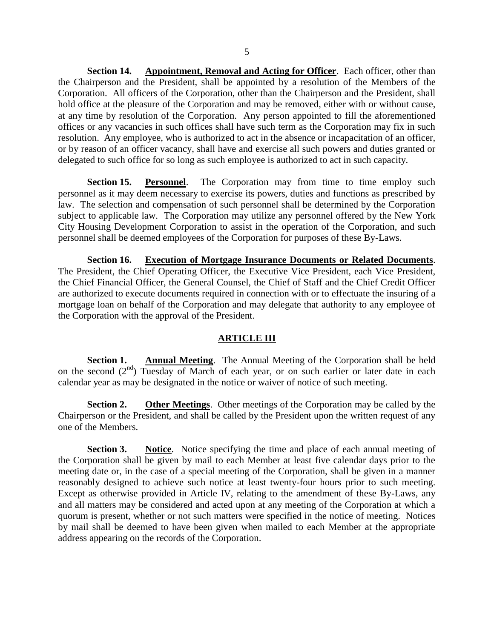**Section 14. Appointment, Removal and Acting for Officer**. Each officer, other than the Chairperson and the President, shall be appointed by a resolution of the Members of the Corporation. All officers of the Corporation, other than the Chairperson and the President, shall hold office at the pleasure of the Corporation and may be removed, either with or without cause, at any time by resolution of the Corporation. Any person appointed to fill the aforementioned offices or any vacancies in such offices shall have such term as the Corporation may fix in such resolution. Any employee, who is authorized to act in the absence or incapacitation of an officer, or by reason of an officer vacancy, shall have and exercise all such powers and duties granted or delegated to such office for so long as such employee is authorized to act in such capacity.

**Section 15. Personnel**. The Corporation may from time to time employ such personnel as it may deem necessary to exercise its powers, duties and functions as prescribed by law. The selection and compensation of such personnel shall be determined by the Corporation subject to applicable law. The Corporation may utilize any personnel offered by the New York City Housing Development Corporation to assist in the operation of the Corporation, and such personnel shall be deemed employees of the Corporation for purposes of these By-Laws.

**Section 16. Execution of Mortgage Insurance Documents or Related Documents**. The President, the Chief Operating Officer, the Executive Vice President, each Vice President, the Chief Financial Officer, the General Counsel, the Chief of Staff and the Chief Credit Officer are authorized to execute documents required in connection with or to effectuate the insuring of a mortgage loan on behalf of the Corporation and may delegate that authority to any employee of the Corporation with the approval of the President.

#### **ARTICLE III**

**Section 1. Annual Meeting**. The Annual Meeting of the Corporation shall be held on the second  $(2<sup>nd</sup>)$  Tuesday of March of each year, or on such earlier or later date in each calendar year as may be designated in the notice or waiver of notice of such meeting.

**Section 2. Other Meetings**. Other meetings of the Corporation may be called by the Chairperson or the President, and shall be called by the President upon the written request of any one of the Members.

**Section 3.** Notice. Notice specifying the time and place of each annual meeting of the Corporation shall be given by mail to each Member at least five calendar days prior to the meeting date or, in the case of a special meeting of the Corporation, shall be given in a manner reasonably designed to achieve such notice at least twenty-four hours prior to such meeting. Except as otherwise provided in Article IV, relating to the amendment of these By-Laws, any and all matters may be considered and acted upon at any meeting of the Corporation at which a quorum is present, whether or not such matters were specified in the notice of meeting. Notices by mail shall be deemed to have been given when mailed to each Member at the appropriate address appearing on the records of the Corporation.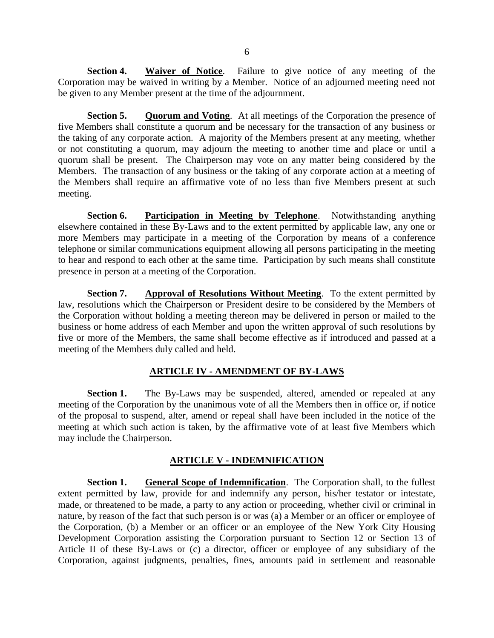**Section 4.** Waiver of Notice. Failure to give notice of any meeting of the Corporation may be waived in writing by a Member. Notice of an adjourned meeting need not be given to any Member present at the time of the adjournment.

**Section 5.** Quorum and Voting. At all meetings of the Corporation the presence of five Members shall constitute a quorum and be necessary for the transaction of any business or the taking of any corporate action. A majority of the Members present at any meeting, whether or not constituting a quorum, may adjourn the meeting to another time and place or until a quorum shall be present. The Chairperson may vote on any matter being considered by the Members. The transaction of any business or the taking of any corporate action at a meeting of the Members shall require an affirmative vote of no less than five Members present at such meeting.

**Section 6. Participation in Meeting by Telephone**. Notwithstanding anything elsewhere contained in these By-Laws and to the extent permitted by applicable law, any one or more Members may participate in a meeting of the Corporation by means of a conference telephone or similar communications equipment allowing all persons participating in the meeting to hear and respond to each other at the same time. Participation by such means shall constitute presence in person at a meeting of the Corporation.

**Section 7. Approval of Resolutions Without Meeting**. To the extent permitted by law, resolutions which the Chairperson or President desire to be considered by the Members of the Corporation without holding a meeting thereon may be delivered in person or mailed to the business or home address of each Member and upon the written approval of such resolutions by five or more of the Members, the same shall become effective as if introduced and passed at a meeting of the Members duly called and held.

# **ARTICLE IV - AMENDMENT OF BY-LAWS**

**Section 1.** The By-Laws may be suspended, altered, amended or repealed at any meeting of the Corporation by the unanimous vote of all the Members then in office or, if notice of the proposal to suspend, alter, amend or repeal shall have been included in the notice of the meeting at which such action is taken, by the affirmative vote of at least five Members which may include the Chairperson.

## **ARTICLE V - INDEMNIFICATION**

**Section 1.** General Scope of Indemnification. The Corporation shall, to the fullest extent permitted by law, provide for and indemnify any person, his/her testator or intestate, made, or threatened to be made, a party to any action or proceeding, whether civil or criminal in nature, by reason of the fact that such person is or was (a) a Member or an officer or employee of the Corporation, (b) a Member or an officer or an employee of the New York City Housing Development Corporation assisting the Corporation pursuant to Section 12 or Section 13 of Article II of these By-Laws or (c) a director, officer or employee of any subsidiary of the Corporation, against judgments, penalties, fines, amounts paid in settlement and reasonable